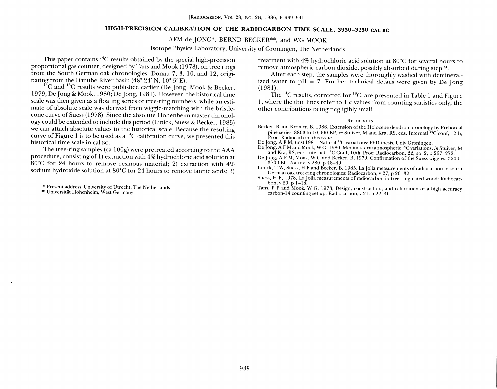# HIGH-PRECISION CALIBRATION OF THE RADIOCARBON TIME SCALE, 3930-3230 CAL BC

## AFM de JONG\*, BERND BECKER\*\*, and WG MOOK

Isotope Physics Laboratory, University of Groningen, The Netherlands

This paper contains  ${}^{14}C$  results obtained by the special high-precision proportional gas counter, designed by Tans and Mook 1978), on tree rings from the South German oak chronologies: Donau 7, 3, 10, and 12, originating from the Danube River basin (48° 24' N, 10° 5' E).<br><sup>14</sup>C and <sup>13</sup>C results were published earlier (De Jong, Mook & Becker,

1979: De Jong & Mook, 1980; De Jong, 1981). However, the historical time scale was then given as a floating series of tree-ring numbers, while an estimate of absolute scale was derived from wiggle-matching with the bristlecone curve of Suess (1978). Since the absolute Hohenheim master chronology could be extended to include this period Linick Suess 8c Becker, 1 985 we can attach absolute values to the historical scale. Because the resulting curve of Figure 1 is to be used as a  $^{14}C$  calibration curve, we presented this historical time scale in cal BC.

The tree-ring samples (ca  $100g$ ) were pretreated according to the AAA procedure, consisting of 1) extraction with 4% hydrochloric acid solution at  $80^{\circ}$ C for 24 hours to remove resinous material; 2) extraction with 4% sodium hydroxide solution at 80°C for 24 hours to remove tannic acids, 3

\* Present address: University of Utrecht, The Netherlands

\*\* Universitat Hohenheim, West Germany

treatment with 4% hydrochloric acid solution at 80°C for several hours to remove atmospheric carbon dioxide, possibly absorbed during step 2.<br>After each step, the samples were thoroughly washed with demineral-

ized water to pH = 7. Further technical details were given by De Jong  $(1981)$ .

The <sup>14</sup>C results, corrected for <sup>13</sup>C, are presented in Table 1 and Figure 1, where the thin lines refer to 1  $\sigma$  values from counting statistics only, the other contributions being negligibly small.

#### **REFERENCES**

Becker, B and Kromer, B, 1986, Extension of the Holocene dendro-chronology by Preboreal pine series, 8800 to 10,000 BP, *in* Stuiver, M and Kra, RS, eds, Internatl  $^{14}$ C conf, 12th, Proc: Radiocarbon, this issue.

- De Jong, A F M, (ms) 1981, Natural <sup>14</sup>C variations: PhD thesis, Univ Groningen.<br>De Jong, A F M and Mook, W G, 1980, Medium-term atmospheric <sup>14</sup>C variations, *in* Stuiver, M
- and Kra, RS, eds, Internatl <sup>14</sup>C Conf, 10th, Proc: Radiocarbon, 22, no. 2, p 267–272.<br>De Jong, A F M, Mook, W G and Becker, B, 1979, Confirmation of the Suess wiggles: 3200– 3700 BC: Nature, v 280, p 48-49.<br>Linick, T W, Suess, H E and Becker, B, 1985, La Jolla measurements of radiocarbon in south

German oak tree-ring chronologies: Radiocarbon, v 27, p 20-32.

Suess, H E, 1978, La olla measurements of radiocarbon in tree-ring dated wood: Radiocar-bon, g v 20, p 1-18.

Tans, P P and Mook, W G, 1978, Design, construction and calibration of a high accuracy carbon-14 counting set up: Radiocarbon, v 21, p 22-40.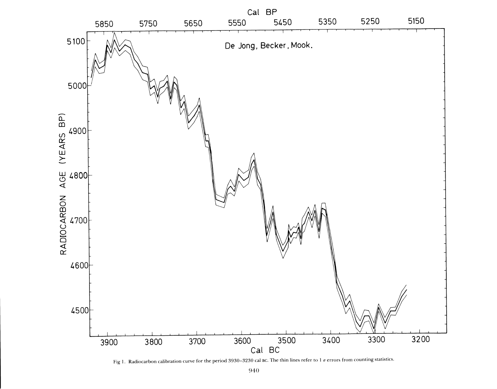

Fig 1. Radiocarbon calibration curve for the period 3930-3230 cal BC. The thin lines refer to 1  $\sigma$  errors from counting statistics.